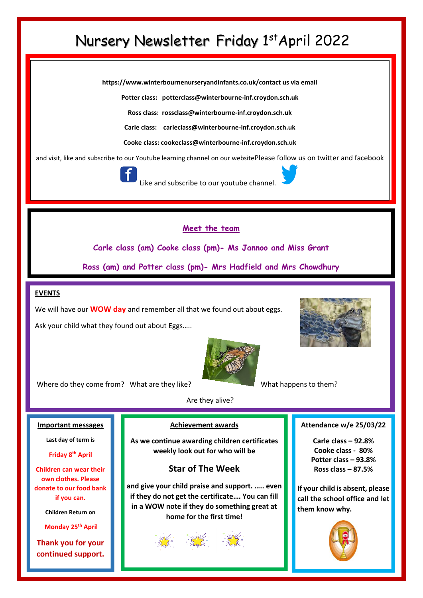# Nursery Newsletter Friday 1st April 2022

**https://www.winterbournenurseryandinfants.co.uk/contact us via email**

**Potter class: potterclass@winterbourne-inf.croydon.sch.uk**

**Ross class: rossclass@winterbourne-inf.croydon.sch.uk**

**Carle class: [carleclass@winterbourne-inf.croydon.sch.uk](mailto:carleclass@winterbourne-inf.croydon.sch.uk)**

**Cooke class: cookeclass@winterbourne-inf.croydon.sch.uk**

and visit, like and subscribe to our Youtube learning channel on our websitePlease follow us on twitter and facebook



Like and subscribe to our youtube channe

**Meet the team**

**Carle class (am) Cooke class (pm)- Ms Jannoo and Miss Grant**

**Ross (am) and Potter class (pm)- Mrs Hadfield and Mrs Chowdhury**

### **EVENTS**

We will have our **WOW day** and remember all that we found out about eggs.

Ask your child what they found out about Eggs…..





Where do they come from? What are they like? What **What happens to them?** 

#### **Important messages**

**Last day of term is** 

**Friday 8th April** 

**Children can wear their own clothes. Please donate to our food bank if you can.**

**Children Return on**

**Monday 25th April**

**Thank you for your continued support.** Are they alive?

#### **Achievement awards**

**As we continue awarding children certificates weekly look out for who will be**

### **Star of The Week**

**and give your child praise and support. ….. even if they do not get the certificate…. You can fill in a WOW note if they do something great at home for the first time!**

#### **Attendance w/e 25/03/22**

**Carle class – 92.8% Cooke class - 80% Potter class – 93.8% Ross class – 87.5%**

**If your child is absent, please call the school office and let them know why.**